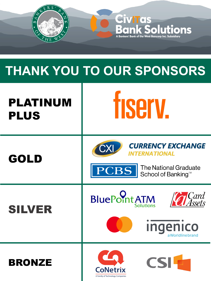

## **THANK YOU TO OUR SPONSORS**

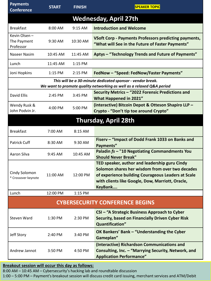| <b>Payments</b><br><b>Conference</b>     | <b>START</b> | <b>FINISH</b> | <b>SPEAKER TOPIC</b>                                                                                                                                                                                                  |  |  |
|------------------------------------------|--------------|---------------|-----------------------------------------------------------------------------------------------------------------------------------------------------------------------------------------------------------------------|--|--|
| <b>Wednesday, April 27th</b>             |              |               |                                                                                                                                                                                                                       |  |  |
| <b>Breakfast</b>                         | 8:00 AM      | 9:15 AM       | <b>Introduction and Welcome</b>                                                                                                                                                                                       |  |  |
| Kevin Olsen-<br>The Payment<br>Professor | 9:30 AM      | 10:30 AM      | <b>VSoft Corp - Payments Professors predicting payments,</b><br>"What will See in the Future of Faster Payments"                                                                                                      |  |  |
| Naseer Nasim                             | 10:45 AM     | 11:45 AM      | Aptys - "Technology Trends and Future of Payments"                                                                                                                                                                    |  |  |
| Lunch                                    | 11:45 AM     | 1:15 PM       |                                                                                                                                                                                                                       |  |  |
| Joni Hopkins                             | $1:15$ PM    | 2:15 PM       | FedNow - "Speed: FedNow/Faster Payments"                                                                                                                                                                              |  |  |
|                                          |              |               | This will be a 30-minute dedicated sponsor - vendor break.<br>We want to promote quality networking as well as a relaxed Q&A period                                                                                   |  |  |
| David Ellis                              | 2:45 PM      | 3:45 PM       | Security Metrics - "2022 Forensic Predictions and<br>What Happened in 2021"                                                                                                                                           |  |  |
| Wendy Rusk &<br>John Podvin Jr.          | 4:00 PM      | 5:00 PM       | (interactive) Bitcoin Depot & Otteson Shapiro LLP -<br>Crypto - "Don't tip toe around Crypto"                                                                                                                         |  |  |
|                                          |              |               | <b>Thursday, April 28th</b>                                                                                                                                                                                           |  |  |
| <b>Breakfast</b>                         | 7:00 AM      | 8:15 AM       |                                                                                                                                                                                                                       |  |  |
| Patrick Cuff                             | 8:30 AM      | 9:30 AM       | Fiserv - "Impact of Dodd Frank 1033 on Banks and<br>Payments"                                                                                                                                                         |  |  |
| Aaron Silva                              | 9:45 AM      | 10:45 AM      | Paladin fs - "10 Negotiating Commandments You<br><b>Should Never Break"</b>                                                                                                                                           |  |  |
| Cindy Solomon<br>* Crossover keynote     | 11:00 AM     | 12:00 PM      | TED speaker, author and leadership guru Cindy<br>Solomon shares her wisdom from over two decades<br>of experience building Courageous Leaders at Scale<br>with clients like Google, Dow, Marriott, Oracle,<br>KeyBank |  |  |
| Lunch                                    | 12:00 PM     | 1:15 PM       |                                                                                                                                                                                                                       |  |  |
|                                          |              |               | <b>CYBERSECURITY CONFERENCE BEGINS</b>                                                                                                                                                                                |  |  |
| Steven Ward                              | 1:30 PM      | 2:30 PM       | CSI - "A Strategic Business Approach to Cyber<br>Security, based on Financially Driven Cyber Risk<br>Quantification"                                                                                                  |  |  |
| Jeff Story                               | 2:40 PM      | 3:40 PM       | OK Bankers' Bank - "Understanding the Cyber<br>Gameplan"                                                                                                                                                              |  |  |
| Andrew Jannot                            | 3:50 PM      | 4:50 PM       | (Interactive) Richardson Communications and<br>Consulting, Inc. - "Marrying Security, Network, and<br><b>Application Performance"</b>                                                                                 |  |  |

## **Breakout session will occur this day as follows:**

8:00 AM – 10:45 AM – Cybersecurity's hacking lab and roundtable discussion

1:00 – 5:00 PM – Payment's breakout session will discuss credit card issuing, merchant services and ATM/Debit